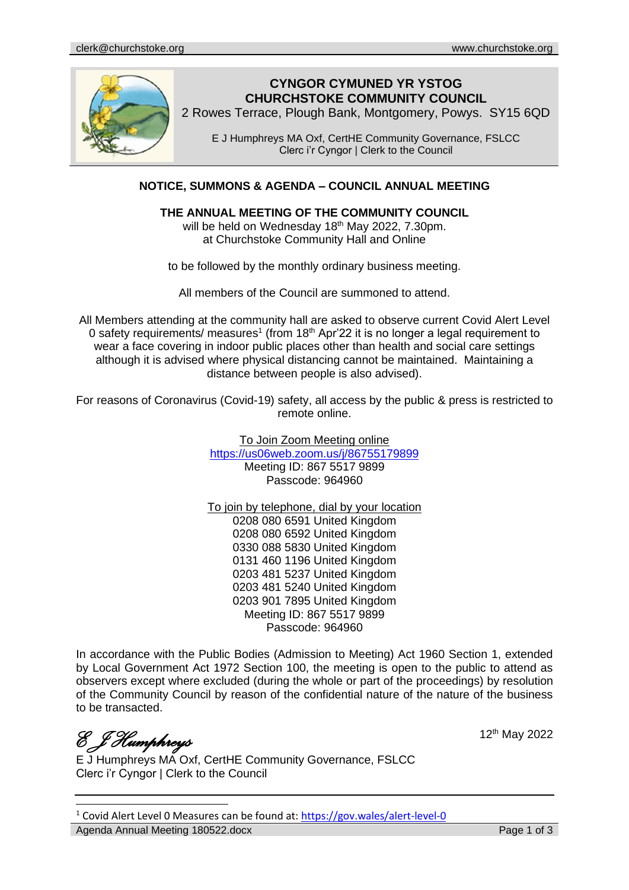

# **CYNGOR CYMUNED YR YSTOG CHURCHSTOKE COMMUNITY COUNCIL**

2 Rowes Terrace, Plough Bank, Montgomery, Powys. SY15 6QD

E J Humphreys MA Oxf, CertHE Community Governance, FSLCC Clerc i'r Cyngor | Clerk to the Council

## **NOTICE, SUMMONS & AGENDA – COUNCIL ANNUAL MEETING**

#### **THE ANNUAL MEETING OF THE COMMUNITY COUNCIL**

will be held on Wednesday 18<sup>th</sup> May 2022, 7.30pm. at Churchstoke Community Hall and Online

to be followed by the monthly ordinary business meeting.

All members of the Council are summoned to attend.

All Members attending at the community hall are asked to observe current Covid Alert Level 0 safety requirements/ measures<sup>1</sup> (from 18<sup>th</sup> Apr'22 it is no longer a legal requirement to wear a face covering in indoor public places other than health and social care settings although it is advised where physical distancing cannot be maintained. Maintaining a distance between people is also advised).

For reasons of Coronavirus (Covid-19) safety, all access by the public & press is restricted to remote online.

> To Join Zoom Meeting online <https://us06web.zoom.us/j/86755179899> Meeting ID: 867 5517 9899 Passcode: 964960

> To join by telephone, dial by your location 0208 080 6591 United Kingdom 0208 080 6592 United Kingdom 0330 088 5830 United Kingdom 0131 460 1196 United Kingdom 0203 481 5237 United Kingdom 0203 481 5240 United Kingdom 0203 901 7895 United Kingdom Meeting ID: 867 5517 9899 Passcode: 964960

In accordance with the Public Bodies (Admission to Meeting) Act 1960 Section 1, extended by Local Government Act 1972 Section 100, the meeting is open to the public to attend as observers except where excluded (during the whole or part of the proceedings) by resolution of the Community Council by reason of the confidential nature of the nature of the business to be transacted.

*E J Humphreys* 

12th May 2022

E J Humphreys MA Oxf, CertHE Community Governance, FSLCC Clerc i'r Cyngor | Clerk to the Council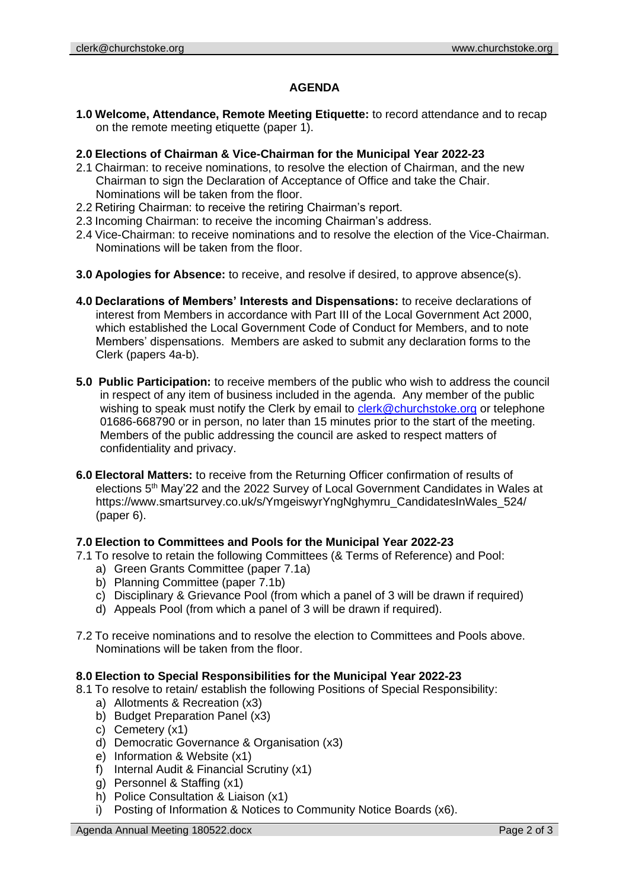## **AGENDA**

**1.0 Welcome, Attendance, Remote Meeting Etiquette:** to record attendance and to recap on the remote meeting etiquette (paper 1).

#### **2.0 Elections of Chairman & Vice-Chairman for the Municipal Year 2022-23**

- 2.1 Chairman: to receive nominations, to resolve the election of Chairman, and the new Chairman to sign the Declaration of Acceptance of Office and take the Chair. Nominations will be taken from the floor.
- 2.2 Retiring Chairman: to receive the retiring Chairman's report.
- 2.3 Incoming Chairman: to receive the incoming Chairman's address.
- 2.4 Vice-Chairman: to receive nominations and to resolve the election of the Vice-Chairman. Nominations will be taken from the floor.
- **3.0 Apologies for Absence:** to receive, and resolve if desired, to approve absence(s).
- **4.0 Declarations of Members' Interests and Dispensations:** to receive declarations of interest from Members in accordance with Part III of the Local Government Act 2000, which established the Local Government Code of Conduct for Members, and to note Members' dispensations. Members are asked to submit any declaration forms to the Clerk (papers 4a-b).
- **5.0 Public Participation:** to receive members of the public who wish to address the council in respect of any item of business included in the agenda. Any member of the public wishing to speak must notify the Clerk by email to [clerk@churchstoke.org](mailto:clerk@churchstoke.org) or telephone 01686-668790 or in person, no later than 15 minutes prior to the start of the meeting. Members of the public addressing the council are asked to respect matters of confidentiality and privacy.
- **6.0 Electoral Matters:** to receive from the Returning Officer confirmation of results of elections 5th May'22 and the 2022 Survey of Local Government Candidates in Wales at https://www.smartsurvey.co.uk/s/YmgeiswyrYngNghymru\_CandidatesInWales\_524/ (paper 6).

#### **7.0 Election to Committees and Pools for the Municipal Year 2022-23**

- 7.1 To resolve to retain the following Committees (& Terms of Reference) and Pool:
	- a) Green Grants Committee (paper 7.1a)
	- b) Planning Committee (paper 7.1b)
	- c) Disciplinary & Grievance Pool (from which a panel of 3 will be drawn if required)
	- d) Appeals Pool (from which a panel of 3 will be drawn if required).
- 7.2 To receive nominations and to resolve the election to Committees and Pools above. Nominations will be taken from the floor.

#### **8.0 Election to Special Responsibilities for the Municipal Year 2022-23**

- 8.1 To resolve to retain/ establish the following Positions of Special Responsibility:
	- a) Allotments & Recreation (x3)
	- b) Budget Preparation Panel (x3)
	- c) Cemetery (x1)
	- d) Democratic Governance & Organisation (x3)
	- e) Information & Website (x1)
	- f) Internal Audit & Financial Scrutiny (x1)
	- g) Personnel & Staffing (x1)
	- h) Police Consultation & Liaison (x1)
	- i) Posting of Information & Notices to Community Notice Boards (x6).